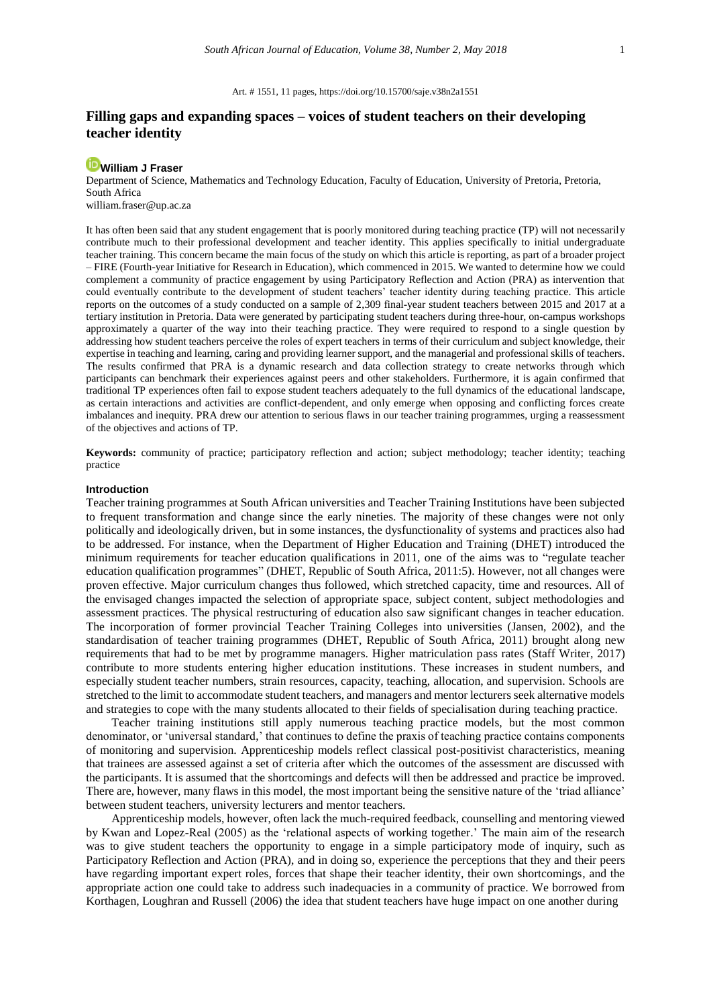### Art. # 1551, 11 pages[, https://doi.org/10.15700/saje.v38n2a1551](https://doi.org/10.15700/saje.v38n2a1551)

# **Filling gaps and expanding spaces – voices of student teachers on their developing teacher identity**

# **[William J Fraser](http://orcid.org/0000-0002-7029-2761)**

Department of Science, Mathematics and Technology Education, Faculty of Education, University of Pretoria, Pretoria, South Africa william.fraser@up.ac.za

It has often been said that any student engagement that is poorly monitored during teaching practice (TP) will not necessarily contribute much to their professional development and teacher identity. This applies specifically to initial undergraduate teacher training. This concern became the main focus of the study on which this article is reporting, as part of a broader project – FIRE (Fourth-year Initiative for Research in Education), which commenced in 2015. We wanted to determine how we could complement a community of practice engagement by using Participatory Reflection and Action (PRA) as intervention that could eventually contribute to the development of student teachers' teacher identity during teaching practice. This article reports on the outcomes of a study conducted on a sample of 2,309 final-year student teachers between 2015 and 2017 at a tertiary institution in Pretoria. Data were generated by participating student teachers during three-hour, on-campus workshops approximately a quarter of the way into their teaching practice. They were required to respond to a single question by addressing how student teachers perceive the roles of expert teachers in terms of their curriculum and subject knowledge, their expertise in teaching and learning, caring and providing learner support, and the managerial and professional skills of teachers. The results confirmed that PRA is a dynamic research and data collection strategy to create networks through which participants can benchmark their experiences against peers and other stakeholders. Furthermore, it is again confirmed that traditional TP experiences often fail to expose student teachers adequately to the full dynamics of the educational landscape, as certain interactions and activities are conflict-dependent, and only emerge when opposing and conflicting forces create imbalances and inequity. PRA drew our attention to serious flaws in our teacher training programmes, urging a reassessment of the objectives and actions of TP.

**Keywords:** community of practice; participatory reflection and action; subject methodology; teacher identity; teaching practice

# **Introduction**

Teacher training programmes at South African universities and Teacher Training Institutions have been subjected to frequent transformation and change since the early nineties. The majority of these changes were not only politically and ideologically driven, but in some instances, the dysfunctionality of systems and practices also had to be addressed. For instance, when the Department of Higher Education and Training (DHET) introduced the minimum requirements for teacher education qualifications in 2011, one of the aims was to "regulate teacher education qualification programmes" (DHET, Republic of South Africa, 2011:5). However, not all changes were proven effective. Major curriculum changes thus followed, which stretched capacity, time and resources. All of the envisaged changes impacted the selection of appropriate space, subject content, subject methodologies and assessment practices. The physical restructuring of education also saw significant changes in teacher education. The incorporation of former provincial Teacher Training Colleges into universities (Jansen, 2002), and the standardisation of teacher training programmes (DHET, Republic of South Africa, 2011) brought along new requirements that had to be met by programme managers. Higher matriculation pass rates (Staff Writer, 2017) contribute to more students entering higher education institutions. These increases in student numbers, and especially student teacher numbers, strain resources, capacity, teaching, allocation, and supervision. Schools are stretched to the limit to accommodate student teachers, and managers and mentor lecturers seek alternative models and strategies to cope with the many students allocated to their fields of specialisation during teaching practice.

Teacher training institutions still apply numerous teaching practice models, but the most common denominator, or 'universal standard,' that continues to define the praxis of teaching practice contains components of monitoring and supervision. Apprenticeship models reflect classical post-positivist characteristics, meaning that trainees are assessed against a set of criteria after which the outcomes of the assessment are discussed with the participants. It is assumed that the shortcomings and defects will then be addressed and practice be improved. There are, however, many flaws in this model, the most important being the sensitive nature of the 'triad alliance' between student teachers, university lecturers and mentor teachers.

Apprenticeship models, however, often lack the much-required feedback, counselling and mentoring viewed by Kwan and Lopez-Real (2005) as the 'relational aspects of working together.' The main aim of the research was to give student teachers the opportunity to engage in a simple participatory mode of inquiry, such as Participatory Reflection and Action (PRA), and in doing so, experience the perceptions that they and their peers have regarding important expert roles, forces that shape their teacher identity, their own shortcomings, and the appropriate action one could take to address such inadequacies in a community of practice. We borrowed from Korthagen, Loughran and Russell (2006) the idea that student teachers have huge impact on one another during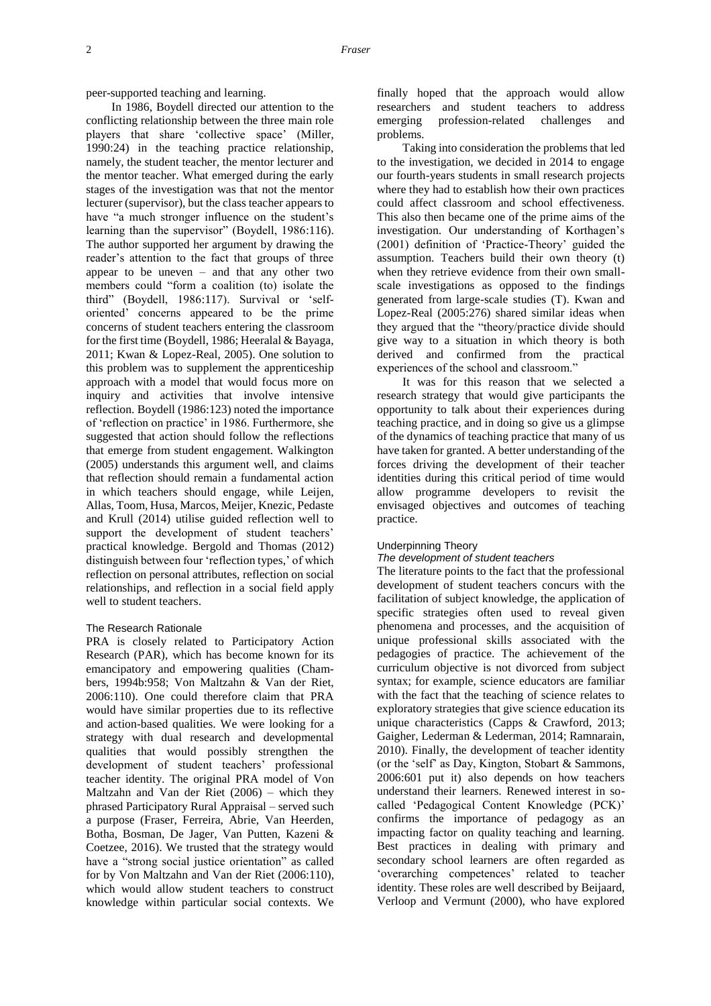peer-supported teaching and learning.

In 1986, Boydell directed our attention to the conflicting relationship between the three main role players that share 'collective space' (Miller, 1990:24) in the teaching practice relationship, namely, the student teacher, the mentor lecturer and the mentor teacher. What emerged during the early stages of the investigation was that not the mentor lecturer (supervisor), but the class teacher appears to have "a much stronger influence on the student's learning than the supervisor" (Boydell, 1986:116). The author supported her argument by drawing the reader's attention to the fact that groups of three appear to be uneven – and that any other two members could "form a coalition (to) isolate the third" (Boydell, 1986:117). Survival or 'selforiented' concerns appeared to be the prime concerns of student teachers entering the classroom for the first time (Boydell, 1986; Heeralal & Bayaga, 2011; Kwan & Lopez-Real, 2005). One solution to this problem was to supplement the apprenticeship approach with a model that would focus more on inquiry and activities that involve intensive reflection. Boydell (1986:123) noted the importance of 'reflection on practice' in 1986. Furthermore, she suggested that action should follow the reflections that emerge from student engagement. Walkington (2005) understands this argument well, and claims that reflection should remain a fundamental action in which teachers should engage, while Leijen, Allas, Toom, Husa, Marcos, Meijer, Knezic, Pedaste and Krull (2014) utilise guided reflection well to support the development of student teachers' practical knowledge. Bergold and Thomas (2012) distinguish between four 'reflection types,' of which reflection on personal attributes, reflection on social relationships, and reflection in a social field apply well to student teachers.

#### The Research Rationale

PRA is closely related to Participatory Action Research (PAR), which has become known for its emancipatory and empowering qualities (Chambers, 1994b:958; Von Maltzahn & Van der Riet, 2006:110). One could therefore claim that PRA would have similar properties due to its reflective and action-based qualities. We were looking for a strategy with dual research and developmental qualities that would possibly strengthen the development of student teachers' professional teacher identity. The original PRA model of Von Maltzahn and Van der Riet (2006) – which they phrased Participatory Rural Appraisal – served such a purpose (Fraser, Ferreira, Abrie, Van Heerden, Botha, Bosman, De Jager, Van Putten, Kazeni & Coetzee, 2016). We trusted that the strategy would have a "strong social justice orientation" as called for by Von Maltzahn and Van der Riet (2006:110), which would allow student teachers to construct knowledge within particular social contexts. We finally hoped that the approach would allow researchers and student teachers to address emerging profession-related challenges and problems.

Taking into consideration the problems that led to the investigation, we decided in 2014 to engage our fourth-years students in small research projects where they had to establish how their own practices could affect classroom and school effectiveness. This also then became one of the prime aims of the investigation. Our understanding of Korthagen's (2001) definition of 'Practice-Theory' guided the assumption. Teachers build their own theory (t) when they retrieve evidence from their own smallscale investigations as opposed to the findings generated from large-scale studies (T). Kwan and Lopez-Real (2005:276) shared similar ideas when they argued that the "theory/practice divide should give way to a situation in which theory is both derived and confirmed from the practical experiences of the school and classroom."

It was for this reason that we selected a research strategy that would give participants the opportunity to talk about their experiences during teaching practice, and in doing so give us a glimpse of the dynamics of teaching practice that many of us have taken for granted. A better understanding of the forces driving the development of their teacher identities during this critical period of time would allow programme developers to revisit the envisaged objectives and outcomes of teaching practice.

# Underpinning Theory

# *The development of student teachers*

The literature points to the fact that the professional development of student teachers concurs with the facilitation of subject knowledge, the application of specific strategies often used to reveal given phenomena and processes, and the acquisition of unique professional skills associated with the pedagogies of practice. The achievement of the curriculum objective is not divorced from subject syntax; for example, science educators are familiar with the fact that the teaching of science relates to exploratory strategies that give science education its unique characteristics (Capps & Crawford, 2013; Gaigher, Lederman & Lederman, 2014; Ramnarain, 2010). Finally, the development of teacher identity (or the 'self' as Day, Kington, Stobart & Sammons, 2006:601 put it) also depends on how teachers understand their learners. Renewed interest in socalled 'Pedagogical Content Knowledge (PCK)' confirms the importance of pedagogy as an impacting factor on quality teaching and learning. Best practices in dealing with primary and secondary school learners are often regarded as 'overarching competences' related to teacher identity. These roles are well described by Beijaard, Verloop and Vermunt (2000), who have explored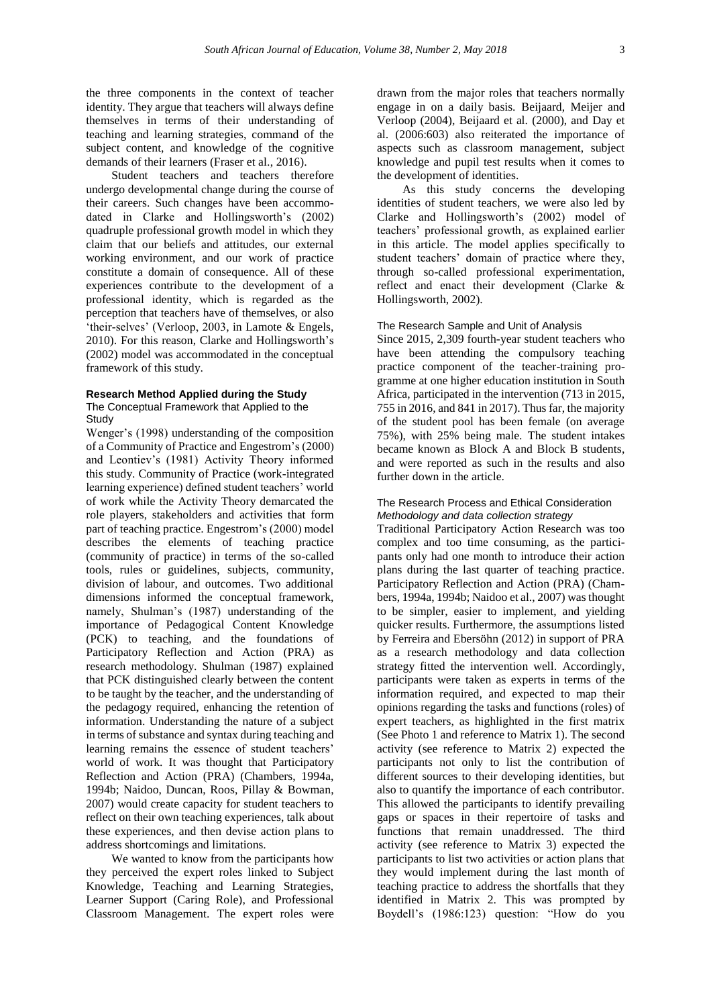the three components in the context of teacher identity. They argue that teachers will always define themselves in terms of their understanding of teaching and learning strategies, command of the subject content, and knowledge of the cognitive demands of their learners (Fraser et al., 2016).

Student teachers and teachers therefore undergo developmental change during the course of their careers. Such changes have been accommodated in Clarke and Hollingsworth's (2002) quadruple professional growth model in which they claim that our beliefs and attitudes, our external working environment, and our work of practice constitute a domain of consequence. All of these experiences contribute to the development of a professional identity, which is regarded as the perception that teachers have of themselves, or also 'their-selves' (Verloop, 2003, in Lamote & Engels, 2010). For this reason, Clarke and Hollingsworth's (2002) model was accommodated in the conceptual framework of this study.

#### **Research Method Applied during the Study** The Conceptual Framework that Applied to the **Study**

Wenger's (1998) understanding of the composition of a Community of Practice and Engestrom's (2000) and Leontiev's (1981) Activity Theory informed this study. Community of Practice (work-integrated learning experience) defined student teachers' world of work while the Activity Theory demarcated the role players, stakeholders and activities that form part of teaching practice. Engestrom's (2000) model describes the elements of teaching practice (community of practice) in terms of the so-called tools, rules or guidelines, subjects, community, division of labour, and outcomes. Two additional dimensions informed the conceptual framework, namely, Shulman's (1987) understanding of the importance of Pedagogical Content Knowledge (PCK) to teaching, and the foundations of Participatory Reflection and Action (PRA) as research methodology. Shulman (1987) explained that PCK distinguished clearly between the content to be taught by the teacher, and the understanding of the pedagogy required, enhancing the retention of information. Understanding the nature of a subject in terms of substance and syntax during teaching and learning remains the essence of student teachers' world of work. It was thought that Participatory Reflection and Action (PRA) (Chambers, 1994a, 1994b; Naidoo, Duncan, Roos, Pillay & Bowman, 2007) would create capacity for student teachers to reflect on their own teaching experiences, talk about these experiences, and then devise action plans to address shortcomings and limitations.

We wanted to know from the participants how they perceived the expert roles linked to Subject Knowledge, Teaching and Learning Strategies, Learner Support (Caring Role), and Professional Classroom Management. The expert roles were drawn from the major roles that teachers normally engage in on a daily basis. Beijaard, Meijer and Verloop (2004), Beijaard et al. (2000), and Day et al. (2006:603) also reiterated the importance of aspects such as classroom management, subject knowledge and pupil test results when it comes to the development of identities.

As this study concerns the developing identities of student teachers, we were also led by Clarke and Hollingsworth's (2002) model of teachers' professional growth, as explained earlier in this article. The model applies specifically to student teachers' domain of practice where they, through so-called professional experimentation, reflect and enact their development (Clarke & Hollingsworth, 2002).

#### The Research Sample and Unit of Analysis

Since 2015, 2,309 fourth-year student teachers who have been attending the compulsory teaching practice component of the teacher-training programme at one higher education institution in South Africa, participated in the intervention (713 in 2015, 755 in 2016, and 841 in 2017). Thus far, the majority of the student pool has been female (on average 75%), with 25% being male. The student intakes became known as Block A and Block B students, and were reported as such in the results and also further down in the article.

### The Research Process and Ethical Consideration *Methodology and data collection strategy*

Traditional Participatory Action Research was too complex and too time consuming, as the participants only had one month to introduce their action plans during the last quarter of teaching practice. Participatory Reflection and Action (PRA) (Chambers, 1994a, 1994b; Naidoo et al., 2007) was thought to be simpler, easier to implement, and yielding quicker results. Furthermore, the assumptions listed by Ferreira and Ebersöhn (2012) in support of PRA as a research methodology and data collection strategy fitted the intervention well. Accordingly, participants were taken as experts in terms of the information required, and expected to map their opinions regarding the tasks and functions (roles) of expert teachers, as highlighted in the first matrix (See Photo 1 and reference to Matrix 1). The second activity (see reference to Matrix 2) expected the participants not only to list the contribution of different sources to their developing identities, but also to quantify the importance of each contributor. This allowed the participants to identify prevailing gaps or spaces in their repertoire of tasks and functions that remain unaddressed. The third activity (see reference to Matrix 3) expected the participants to list two activities or action plans that they would implement during the last month of teaching practice to address the shortfalls that they identified in Matrix 2. This was prompted by Boydell's (1986:123) question: "How do you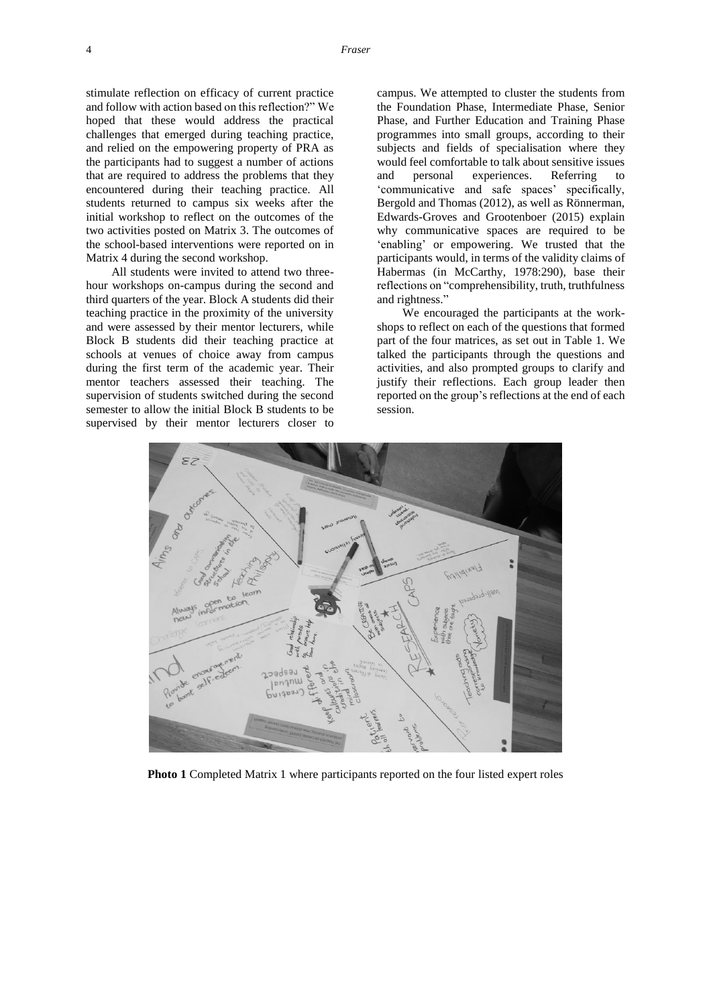stimulate reflection on efficacy of current practice and follow with action based on this reflection?" We hoped that these would address the practical challenges that emerged during teaching practice, and relied on the empowering property of PRA as the participants had to suggest a number of actions that are required to address the problems that they encountered during their teaching practice. All students returned to campus six weeks after the initial workshop to reflect on the outcomes of the two activities posted on Matrix 3. The outcomes of the school-based interventions were reported on in Matrix 4 during the second workshop.

All students were invited to attend two threehour workshops on-campus during the second and third quarters of the year. Block A students did their teaching practice in the proximity of the university and were assessed by their mentor lecturers, while Block B students did their teaching practice at schools at venues of choice away from campus during the first term of the academic year. Their mentor teachers assessed their teaching. The supervision of students switched during the second semester to allow the initial Block B students to be supervised by their mentor lecturers closer to

campus. We attempted to cluster the students from the Foundation Phase, Intermediate Phase, Senior Phase, and Further Education and Training Phase programmes into small groups, according to their subjects and fields of specialisation where they would feel comfortable to talk about sensitive issues and personal experiences. Referring to 'communicative and safe spaces' specifically, Bergold and Thomas (2012), as well as Rönnerman, Edwards-Groves and Grootenboer (2015) explain why communicative spaces are required to be 'enabling' or empowering. We trusted that the participants would, in terms of the validity claims of Habermas (in McCarthy, 1978:290), base their reflections on "comprehensibility, truth, truthfulness and rightness."

We encouraged the participants at the workshops to reflect on each of the questions that formed part of the four matrices, as set out in Table 1. We talked the participants through the questions and activities, and also prompted groups to clarify and justify their reflections. Each group leader then reported on the group's reflections at the end of each session.



**Photo 1** Completed Matrix 1 where participants reported on the four listed expert roles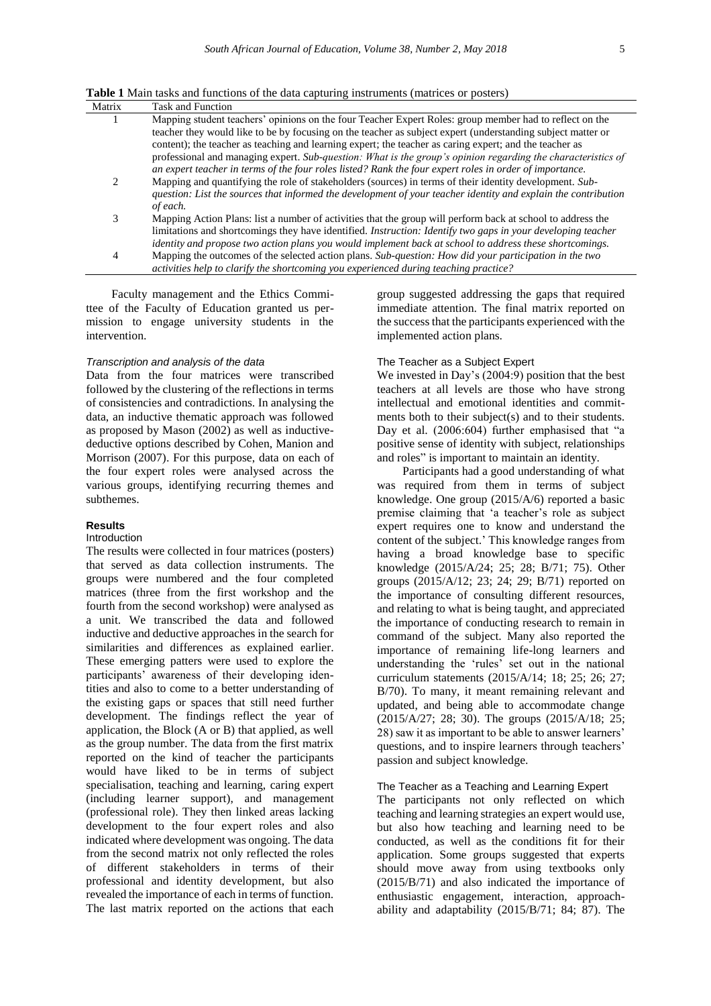**Table 1** Main tasks and functions of the data capturing instruments (matrices or posters)

| Matrix         | Task and Function                                                                                              |
|----------------|----------------------------------------------------------------------------------------------------------------|
|                | Mapping student teachers' opinions on the four Teacher Expert Roles: group member had to reflect on the        |
|                | teacher they would like to be by focusing on the teacher as subject expert (understanding subject matter or    |
|                | content); the teacher as teaching and learning expert; the teacher as caring expert; and the teacher as        |
|                | professional and managing expert. Sub-question: What is the group's opinion regarding the characteristics of   |
|                | an expert teacher in terms of the four roles listed? Rank the four expert roles in order of importance.        |
| $\mathfrak{D}$ | Mapping and quantifying the role of stakeholders (sources) in terms of their identity development. Sub-        |
|                | question: List the sources that informed the development of your teacher identity and explain the contribution |
|                | of each.                                                                                                       |
| 3              | Mapping Action Plans: list a number of activities that the group will perform back at school to address the    |
|                | limitations and shortcomings they have identified. Instruction: Identify two gaps in your developing teacher   |
|                | identity and propose two action plans you would implement back at school to address these shortcomings.        |
| 4              | Mapping the outcomes of the selected action plans. Sub-question: How did your participation in the two         |
|                | activities help to clarify the shortcoming you experienced during teaching practice?                           |

Faculty management and the Ethics Committee of the Faculty of Education granted us permission to engage university students in the intervention.

#### *Transcription and analysis of the data*

Data from the four matrices were transcribed followed by the clustering of the reflections in terms of consistencies and contradictions. In analysing the data, an inductive thematic approach was followed as proposed by Mason (2002) as well as inductivedeductive options described by Cohen, Manion and Morrison (2007). For this purpose, data on each of the four expert roles were analysed across the various groups, identifying recurring themes and subthemes.

#### **Results**

# Introduction

The results were collected in four matrices (posters) that served as data collection instruments. The groups were numbered and the four completed matrices (three from the first workshop and the fourth from the second workshop) were analysed as a unit. We transcribed the data and followed inductive and deductive approaches in the search for similarities and differences as explained earlier. These emerging patters were used to explore the participants' awareness of their developing identities and also to come to a better understanding of the existing gaps or spaces that still need further development. The findings reflect the year of application, the Block (A or B) that applied, as well as the group number. The data from the first matrix reported on the kind of teacher the participants would have liked to be in terms of subject specialisation, teaching and learning, caring expert (including learner support), and management (professional role). They then linked areas lacking development to the four expert roles and also indicated where development was ongoing. The data from the second matrix not only reflected the roles of different stakeholders in terms of their professional and identity development, but also revealed the importance of each in terms of function. The last matrix reported on the actions that each group suggested addressing the gaps that required immediate attention. The final matrix reported on the success that the participants experienced with the implemented action plans.

### The Teacher as a Subject Expert

We invested in Day's (2004:9) position that the best teachers at all levels are those who have strong intellectual and emotional identities and commitments both to their subject(s) and to their students. Day et al. (2006:604) further emphasised that "a positive sense of identity with subject, relationships and roles" is important to maintain an identity.

Participants had a good understanding of what was required from them in terms of subject knowledge. One group (2015/A/6) reported a basic premise claiming that 'a teacher's role as subject expert requires one to know and understand the content of the subject.' This knowledge ranges from having a broad knowledge base to specific knowledge (2015/A/24; 25; 28; B/71; 75). Other groups (2015/A/12; 23; 24; 29; B/71) reported on the importance of consulting different resources, and relating to what is being taught, and appreciated the importance of conducting research to remain in command of the subject. Many also reported the importance of remaining life-long learners and understanding the 'rules' set out in the national curriculum statements (2015/A/14; 18; 25; 26; 27; B/70). To many, it meant remaining relevant and updated, and being able to accommodate change (2015/A/27; 28; 30). The groups (2015/A/18; 25; 28) saw it as important to be able to answer learners' questions, and to inspire learners through teachers' passion and subject knowledge.

#### The Teacher as a Teaching and Learning Expert

The participants not only reflected on which teaching and learning strategies an expert would use, but also how teaching and learning need to be conducted, as well as the conditions fit for their application. Some groups suggested that experts should move away from using textbooks only (2015/B/71) and also indicated the importance of enthusiastic engagement, interaction, approachability and adaptability (2015/B/71; 84; 87). The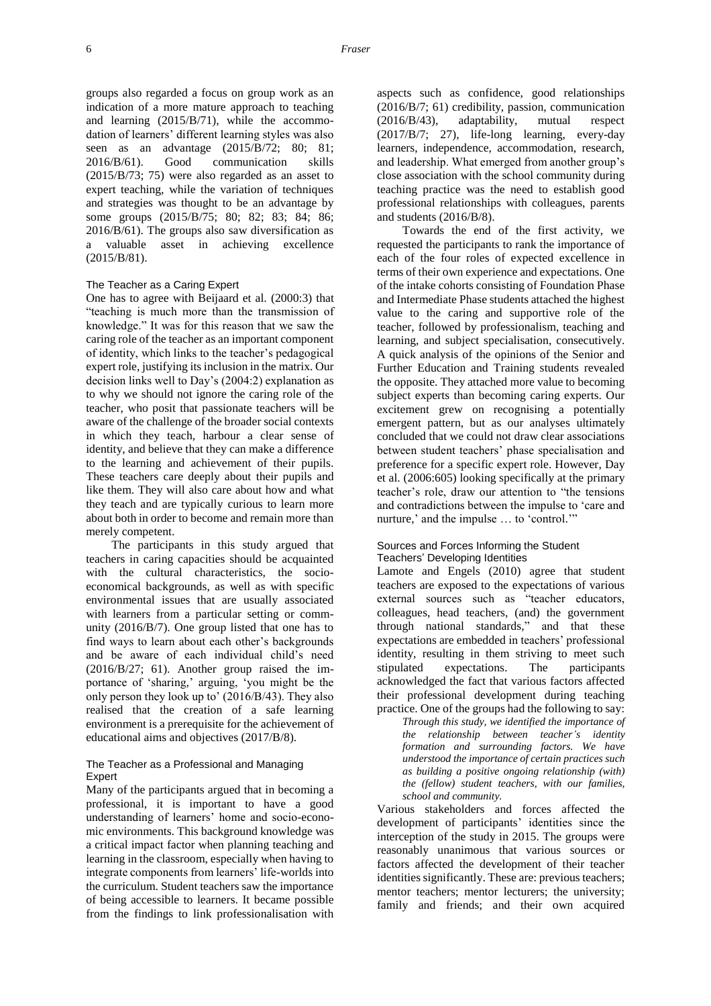groups also regarded a focus on group work as an indication of a more mature approach to teaching and learning (2015/B/71), while the accommodation of learners' different learning styles was also seen as an advantage (2015/B/72; 80; 81; 2016/B/61). Good communication skills (2015/B/73; 75) were also regarded as an asset to expert teaching, while the variation of techniques and strategies was thought to be an advantage by some groups (2015/B/75; 80; 82; 83; 84; 86; 2016/B/61). The groups also saw diversification as a valuable asset in achieving excellence (2015/B/81).

#### The Teacher as a Caring Expert

One has to agree with Beijaard et al. (2000:3) that "teaching is much more than the transmission of knowledge." It was for this reason that we saw the caring role of the teacher as an important component of identity, which links to the teacher's pedagogical expert role, justifying its inclusion in the matrix. Our decision links well to Day's (2004:2) explanation as to why we should not ignore the caring role of the teacher, who posit that passionate teachers will be aware of the challenge of the broader social contexts in which they teach, harbour a clear sense of identity, and believe that they can make a difference to the learning and achievement of their pupils. These teachers care deeply about their pupils and like them. They will also care about how and what they teach and are typically curious to learn more about both in order to become and remain more than merely competent.

The participants in this study argued that teachers in caring capacities should be acquainted with the cultural characteristics, the socioeconomical backgrounds, as well as with specific environmental issues that are usually associated with learners from a particular setting or community (2016/B/7). One group listed that one has to find ways to learn about each other's backgrounds and be aware of each individual child's need (2016/B/27; 61). Another group raised the importance of 'sharing,' arguing, 'you might be the only person they look up to' (2016/B/43). They also realised that the creation of a safe learning environment is a prerequisite for the achievement of educational aims and objectives (2017/B/8).

### The Teacher as a Professional and Managing Expert

Many of the participants argued that in becoming a professional, it is important to have a good understanding of learners' home and socio-economic environments. This background knowledge was a critical impact factor when planning teaching and learning in the classroom, especially when having to integrate components from learners' life-worlds into the curriculum. Student teachers saw the importance of being accessible to learners. It became possible from the findings to link professionalisation with aspects such as confidence, good relationships (2016/B/7; 61) credibility, passion, communication (2016/B/43), adaptability, mutual respect (2017/B/7; 27), life-long learning, every-day learners, independence, accommodation, research, and leadership. What emerged from another group's close association with the school community during teaching practice was the need to establish good professional relationships with colleagues, parents and students (2016/B/8).

Towards the end of the first activity, we requested the participants to rank the importance of each of the four roles of expected excellence in terms of their own experience and expectations. One of the intake cohorts consisting of Foundation Phase and Intermediate Phase students attached the highest value to the caring and supportive role of the teacher, followed by professionalism, teaching and learning, and subject specialisation, consecutively. A quick analysis of the opinions of the Senior and Further Education and Training students revealed the opposite. They attached more value to becoming subject experts than becoming caring experts. Our excitement grew on recognising a potentially emergent pattern, but as our analyses ultimately concluded that we could not draw clear associations between student teachers' phase specialisation and preference for a specific expert role. However, Day et al. (2006:605) looking specifically at the primary teacher's role, draw our attention to "the tensions and contradictions between the impulse to 'care and nurture,' and the impulse ... to 'control.'"

#### Sources and Forces Informing the Student Teachers' Developing Identities

Lamote and Engels (2010) agree that student teachers are exposed to the expectations of various external sources such as "teacher educators, colleagues, head teachers, (and) the government through national standards," and that these expectations are embedded in teachers' professional identity, resulting in them striving to meet such stipulated expectations. The participants acknowledged the fact that various factors affected their professional development during teaching practice. One of the groups had the following to say:

*Through this study, we identified the importance of the relationship between teacher's identity formation and surrounding factors. We have understood the importance of certain practices such as building a positive ongoing relationship (with) the (fellow) student teachers, with our families, school and community.*

Various stakeholders and forces affected the development of participants' identities since the interception of the study in 2015. The groups were reasonably unanimous that various sources or factors affected the development of their teacher identities significantly. These are: previous teachers; mentor teachers; mentor lecturers; the university; family and friends; and their own acquired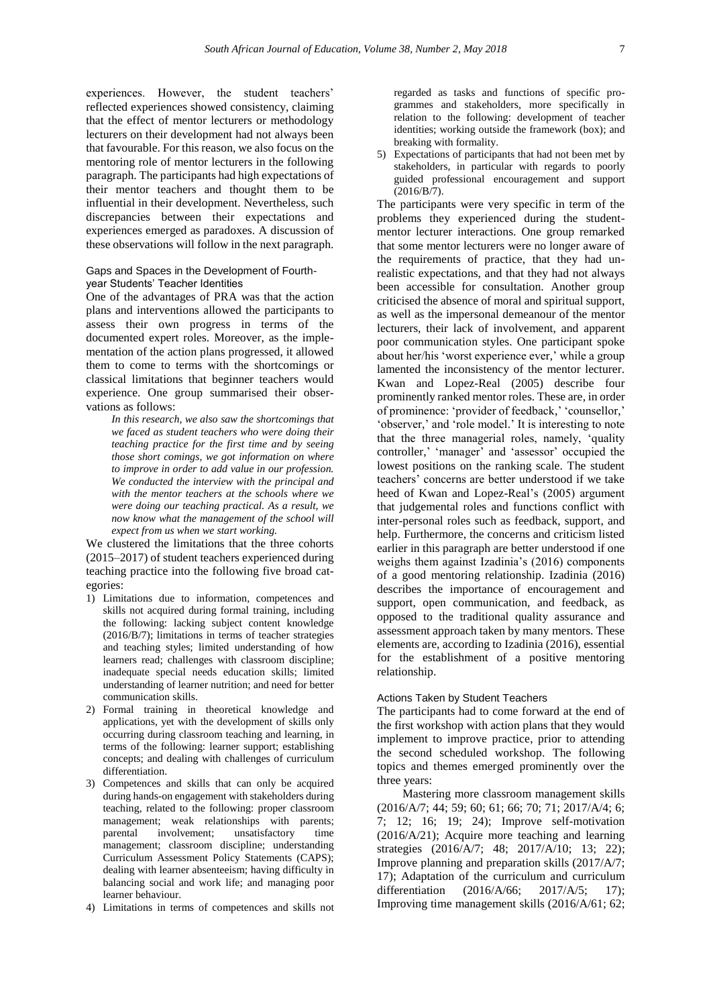experiences. However, the student teachers' reflected experiences showed consistency, claiming that the effect of mentor lecturers or methodology lecturers on their development had not always been that favourable. For this reason, we also focus on the mentoring role of mentor lecturers in the following paragraph. The participants had high expectations of their mentor teachers and thought them to be influential in their development. Nevertheless, such discrepancies between their expectations and experiences emerged as paradoxes. A discussion of these observations will follow in the next paragraph.

### Gaps and Spaces in the Development of Fourthyear Students' Teacher Identities

One of the advantages of PRA was that the action plans and interventions allowed the participants to assess their own progress in terms of the documented expert roles. Moreover, as the implementation of the action plans progressed, it allowed them to come to terms with the shortcomings or classical limitations that beginner teachers would experience. One group summarised their observations as follows:

> *In this research, we also saw the shortcomings that we faced as student teachers who were doing their teaching practice for the first time and by seeing those short comings, we got information on where to improve in order to add value in our profession. We conducted the interview with the principal and with the mentor teachers at the schools where we were doing our teaching practical. As a result, we now know what the management of the school will expect from us when we start working.*

We clustered the limitations that the three cohorts (2015–2017) of student teachers experienced during teaching practice into the following five broad categories:

- 1) Limitations due to information, competences and skills not acquired during formal training, including the following: lacking subject content knowledge (2016/B/7); limitations in terms of teacher strategies and teaching styles; limited understanding of how learners read; challenges with classroom discipline; inadequate special needs education skills; limited understanding of learner nutrition; and need for better communication skills.
- 2) Formal training in theoretical knowledge and applications, yet with the development of skills only occurring during classroom teaching and learning, in terms of the following: learner support; establishing concepts; and dealing with challenges of curriculum differentiation.
- 3) Competences and skills that can only be acquired during hands-on engagement with stakeholders during teaching, related to the following: proper classroom management; weak relationships with parents; parental involvement; unsatisfactory time management; classroom discipline; understanding Curriculum Assessment Policy Statements (CAPS); dealing with learner absenteeism; having difficulty in balancing social and work life; and managing poor learner behaviour.
- 4) Limitations in terms of competences and skills not

regarded as tasks and functions of specific programmes and stakeholders, more specifically in relation to the following: development of teacher identities; working outside the framework (box); and breaking with formality.

5) Expectations of participants that had not been met by stakeholders, in particular with regards to poorly guided professional encouragement and support (2016/B/7).

The participants were very specific in term of the problems they experienced during the studentmentor lecturer interactions. One group remarked that some mentor lecturers were no longer aware of the requirements of practice, that they had unrealistic expectations, and that they had not always been accessible for consultation. Another group criticised the absence of moral and spiritual support, as well as the impersonal demeanour of the mentor lecturers, their lack of involvement, and apparent poor communication styles. One participant spoke about her/his 'worst experience ever,' while a group lamented the inconsistency of the mentor lecturer. Kwan and Lopez-Real (2005) describe four prominently ranked mentor roles. These are, in order of prominence: 'provider of feedback,' 'counsellor,' 'observer,' and 'role model.' It is interesting to note that the three managerial roles, namely, 'quality controller,' 'manager' and 'assessor' occupied the lowest positions on the ranking scale. The student teachers' concerns are better understood if we take heed of Kwan and Lopez-Real's (2005) argument that judgemental roles and functions conflict with inter-personal roles such as feedback, support, and help. Furthermore, the concerns and criticism listed earlier in this paragraph are better understood if one weighs them against Izadinia's (2016) components of a good mentoring relationship. Izadinia (2016) describes the importance of encouragement and support, open communication, and feedback, as opposed to the traditional quality assurance and assessment approach taken by many mentors. These elements are, according to Izadinia (2016), essential for the establishment of a positive mentoring relationship.

## Actions Taken by Student Teachers

The participants had to come forward at the end of the first workshop with action plans that they would implement to improve practice, prior to attending the second scheduled workshop. The following topics and themes emerged prominently over the three years:

Mastering more classroom management skills (2016/A/7; 44; 59; 60; 61; 66; 70; 71; 2017/A/4; 6; 7; 12; 16; 19; 24); Improve self-motivation (2016/A/21); Acquire more teaching and learning strategies (2016/A/7; 48; 2017/A/10; 13; 22); Improve planning and preparation skills (2017/A/7; 17); Adaptation of the curriculum and curriculum differentiation (2016/A/66; 2017/A/5; 17); Improving time management skills (2016/A/61; 62;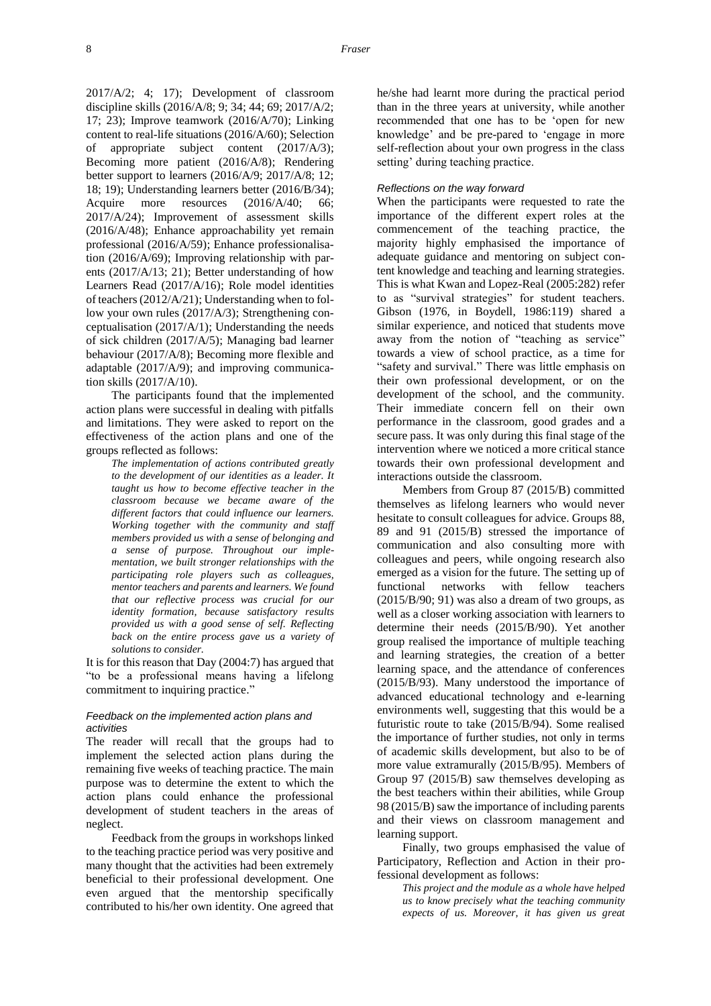2017/A/2; 4; 17); Development of classroom discipline skills (2016/A/8; 9; 34; 44; 69; 2017/A/2; 17; 23); Improve teamwork (2016/A/70); Linking content to real-life situations (2016/A/60); Selection of appropriate subject content (2017/A/3); Becoming more patient (2016/A/8); Rendering better support to learners (2016/A/9; 2017/A/8; 12; 18; 19); Understanding learners better (2016/B/34); Acquire more resources (2016/A/40; 66; 2017/A/24); Improvement of assessment skills (2016/A/48); Enhance approachability yet remain professional (2016/A/59); Enhance professionalisation (2016/A/69); Improving relationship with parents (2017/A/13; 21); Better understanding of how Learners Read (2017/A/16); Role model identities of teachers (2012/A/21); Understanding when to follow your own rules (2017/A/3); Strengthening conceptualisation (2017/A/1); Understanding the needs of sick children (2017/A/5); Managing bad learner behaviour (2017/A/8); Becoming more flexible and adaptable (2017/A/9); and improving communication skills (2017/A/10).

The participants found that the implemented action plans were successful in dealing with pitfalls and limitations. They were asked to report on the effectiveness of the action plans and one of the groups reflected as follows:

*The implementation of actions contributed greatly to the development of our identities as a leader. It taught us how to become effective teacher in the classroom because we became aware of the different factors that could influence our learners. Working together with the community and staff members provided us with a sense of belonging and a sense of purpose. Throughout our implementation, we built stronger relationships with the participating role players such as colleagues, mentor teachers and parents and learners. We found that our reflective process was crucial for our identity formation, because satisfactory results provided us with a good sense of self. Reflecting back on the entire process gave us a variety of solutions to consider.*

It is for this reason that Day (2004:7) has argued that "to be a professional means having a lifelong commitment to inquiring practice."

#### *Feedback on the implemented action plans and activities*

The reader will recall that the groups had to implement the selected action plans during the remaining five weeks of teaching practice. The main purpose was to determine the extent to which the action plans could enhance the professional development of student teachers in the areas of neglect.

Feedback from the groups in workshops linked to the teaching practice period was very positive and many thought that the activities had been extremely beneficial to their professional development. One even argued that the mentorship specifically contributed to his/her own identity. One agreed that he/she had learnt more during the practical period than in the three years at university, while another recommended that one has to be 'open for new knowledge' and be pre-pared to 'engage in more self-reflection about your own progress in the class setting' during teaching practice.

# *Reflections on the way forward*

When the participants were requested to rate the importance of the different expert roles at the commencement of the teaching practice, the majority highly emphasised the importance of adequate guidance and mentoring on subject content knowledge and teaching and learning strategies. This is what Kwan and Lopez-Real (2005:282) refer to as "survival strategies" for student teachers. Gibson (1976, in Boydell, 1986:119) shared a similar experience, and noticed that students move away from the notion of "teaching as service" towards a view of school practice, as a time for "safety and survival." There was little emphasis on their own professional development, or on the development of the school, and the community. Their immediate concern fell on their own performance in the classroom, good grades and a secure pass. It was only during this final stage of the intervention where we noticed a more critical stance towards their own professional development and interactions outside the classroom.

Members from Group 87 (2015/B) committed themselves as lifelong learners who would never hesitate to consult colleagues for advice. Groups 88, 89 and 91 (2015/B) stressed the importance of communication and also consulting more with colleagues and peers, while ongoing research also emerged as a vision for the future. The setting up of functional networks with fellow teachers (2015/B/90; 91) was also a dream of two groups, as well as a closer working association with learners to determine their needs (2015/B/90). Yet another group realised the importance of multiple teaching and learning strategies, the creation of a better learning space, and the attendance of conferences (2015/B/93). Many understood the importance of advanced educational technology and e-learning environments well, suggesting that this would be a futuristic route to take (2015/B/94). Some realised the importance of further studies, not only in terms of academic skills development, but also to be of more value extramurally (2015/B/95). Members of Group 97 (2015/B) saw themselves developing as the best teachers within their abilities, while Group 98 (2015/B) saw the importance of including parents and their views on classroom management and learning support.

Finally, two groups emphasised the value of Participatory, Reflection and Action in their professional development as follows:

*This project and the module as a whole have helped us to know precisely what the teaching community expects of us. Moreover, it has given us great*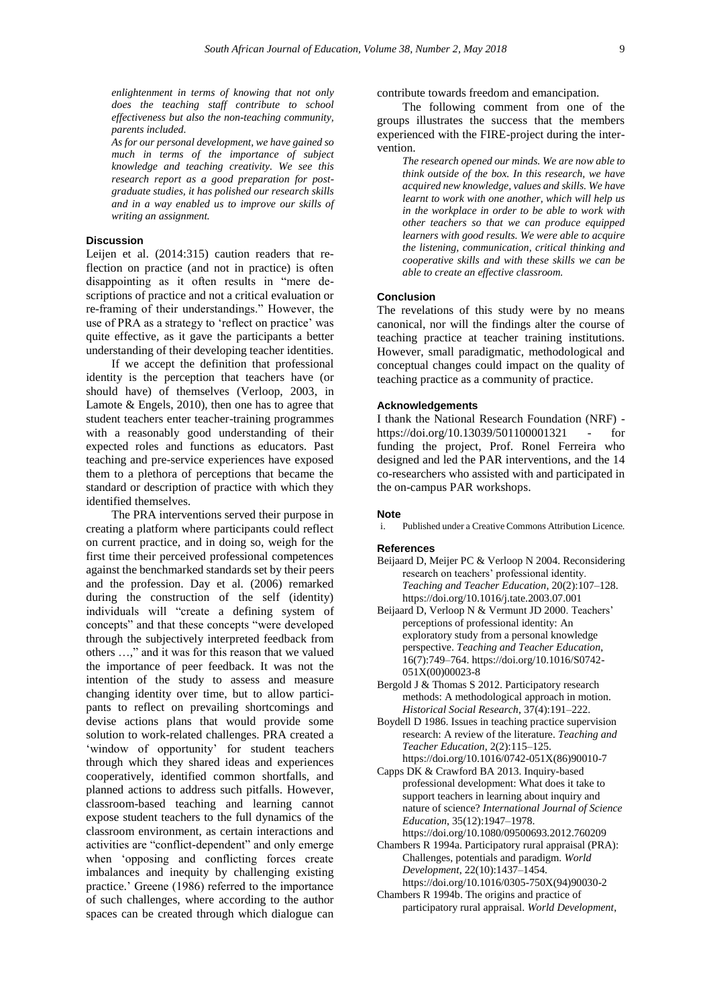*enlightenment in terms of knowing that not only does the teaching staff contribute to school effectiveness but also the non-teaching community, parents included.*

*As for our personal development, we have gained so much in terms of the importance of subject knowledge and teaching creativity. We see this research report as a good preparation for postgraduate studies, it has polished our research skills and in a way enabled us to improve our skills of writing an assignment.*

# **Discussion**

Leijen et al. (2014:315) caution readers that reflection on practice (and not in practice) is often disappointing as it often results in "mere descriptions of practice and not a critical evaluation or re-framing of their understandings." However, the use of PRA as a strategy to 'reflect on practice' was quite effective, as it gave the participants a better understanding of their developing teacher identities.

If we accept the definition that professional identity is the perception that teachers have (or should have) of themselves (Verloop, 2003, in Lamote & Engels, 2010), then one has to agree that student teachers enter teacher-training programmes with a reasonably good understanding of their expected roles and functions as educators. Past teaching and pre-service experiences have exposed them to a plethora of perceptions that became the standard or description of practice with which they identified themselves.

The PRA interventions served their purpose in creating a platform where participants could reflect on current practice, and in doing so, weigh for the first time their perceived professional competences against the benchmarked standards set by their peers and the profession. Day et al. (2006) remarked during the construction of the self (identity) individuals will "create a defining system of concepts" and that these concepts "were developed through the subjectively interpreted feedback from others …," and it was for this reason that we valued the importance of peer feedback. It was not the intention of the study to assess and measure changing identity over time, but to allow participants to reflect on prevailing shortcomings and devise actions plans that would provide some solution to work-related challenges. PRA created a 'window of opportunity' for student teachers through which they shared ideas and experiences cooperatively, identified common shortfalls, and planned actions to address such pitfalls. However, classroom-based teaching and learning cannot expose student teachers to the full dynamics of the classroom environment, as certain interactions and activities are "conflict-dependent" and only emerge when 'opposing and conflicting forces create imbalances and inequity by challenging existing practice.' Greene (1986) referred to the importance of such challenges, where according to the author spaces can be created through which dialogue can contribute towards freedom and emancipation.

The following comment from one of the groups illustrates the success that the members experienced with the FIRE-project during the intervention.

*The research opened our minds. We are now able to think outside of the box. In this research, we have acquired new knowledge, values and skills. We have learnt to work with one another, which will help us in the workplace in order to be able to work with other teachers so that we can produce equipped learners with good results. We were able to acquire the listening, communication, critical thinking and cooperative skills and with these skills we can be able to create an effective classroom.*

#### **Conclusion**

The revelations of this study were by no means canonical, nor will the findings alter the course of teaching practice at teacher training institutions. However, small paradigmatic, methodological and conceptual changes could impact on the quality of teaching practice as a community of practice.

#### **Acknowledgements**

I thank the National Research Foundation (NRF) <https://doi.org/10.13039/501100001321> - for funding the project, Prof. Ronel Ferreira who designed and led the PAR interventions, and the 14 co-researchers who assisted with and participated in the on-campus PAR workshops.

#### **Note**

i. Published under a Creative Commons Attribution Licence.

#### **References**

- Beijaard D, Meijer PC & Verloop N 2004. Reconsidering research on teachers' professional identity. *Teaching and Teacher Education*, 20(2):107–128. <https://doi.org/10.1016/j.tate.2003.07.001>
- Beijaard D, Verloop N & Vermunt JD 2000. Teachers' perceptions of professional identity: An exploratory study from a personal knowledge perspective. *Teaching and Teacher Education*, 16(7):749–764. [https://doi.org/10.1016/S0742-](https://doi.org/10.1016/S0742-051X(00)00023-8) [051X\(00\)00023-8](https://doi.org/10.1016/S0742-051X(00)00023-8)
- Bergold J & Thomas S 2012. Participatory research methods: A methodological approach in motion. *Historical Social Research*, 37(4):191–222.
- Boydell D 1986. Issues in teaching practice supervision research: A review of the literature. *Teaching and Teacher Education*, 2(2):115–125. [https://doi.org/10.1016/0742-051X\(86\)90010-7](https://doi.org/10.1016/0742-051X(86)90010-7)
- Capps DK & Crawford BA 2013. Inquiry-based professional development: What does it take to support teachers in learning about inquiry and nature of science? *International Journal of Science Education*, 35(12):1947–1978. <https://doi.org/10.1080/09500693.2012.760209>
- Chambers R 1994a. Participatory rural appraisal (PRA): Challenges, potentials and paradigm. *World Development*, 22(10):1437–1454. [https://doi.org/10.1016/0305-750X\(94\)90030-2](https://doi.org/10.1016/0305-750X(94)90030-2)
- Chambers R 1994b. The origins and practice of participatory rural appraisal. *World Development*,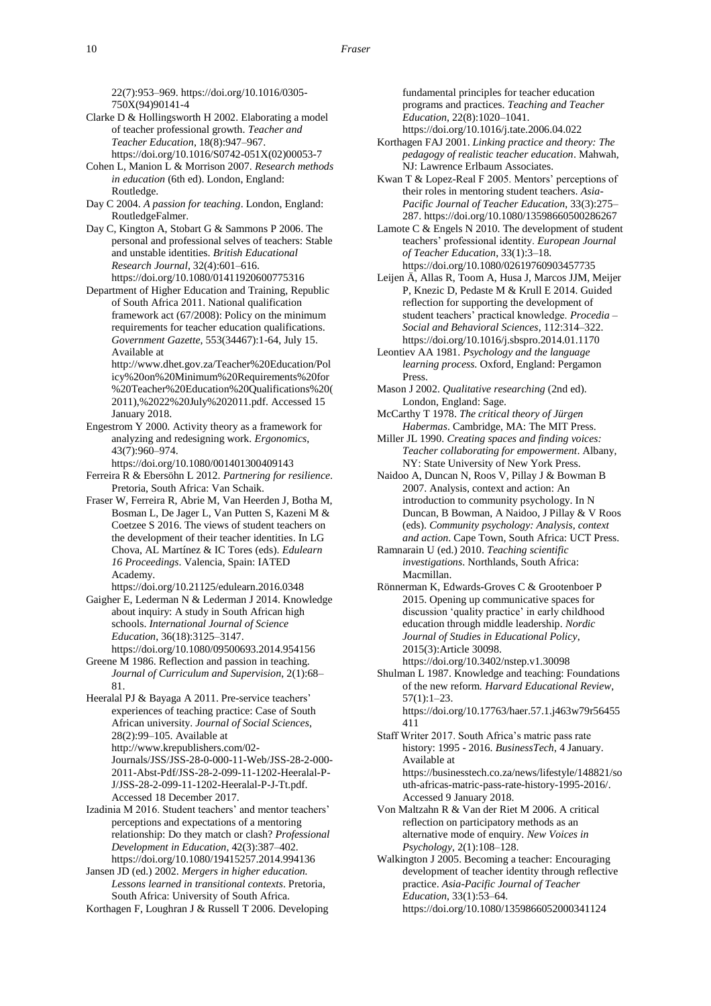22(7):953–969. [https://doi.org/10.1016/0305-](https://doi.org/10.1016/0305-750X(94)90141-4) [750X\(94\)90141-4](https://doi.org/10.1016/0305-750X(94)90141-4)

Clarke D & Hollingsworth H 2002. Elaborating a model of teacher professional growth. *Teacher and Teacher Education*, 18(8):947–967. [https://doi.org/10.1016/S0742-051X\(02\)00053-7](https://doi.org/10.1016/S0742-051X(02)00053-7)

- Cohen L, Manion L & Morrison 2007. *Research methods in education* (6th ed). London, England: Routledge.
- Day C 2004. *A passion for teaching*. London, England: RoutledgeFalmer.
- Day C, Kington A, Stobart G & Sammons P 2006. The personal and professional selves of teachers: Stable and unstable identities. *British Educational Research Journal*, 32(4):601–616. <https://doi.org/10.1080/01411920600775316>
- Department of Higher Education and Training, Republic of South Africa 2011. National qualification framework act (67/2008): Policy on the minimum requirements for teacher education qualifications. *Government Gazette*, 553(34467):1-64, July 15. Available at

[http://www.dhet.gov.za/Teacher%20Education/Pol](http://www.dhet.gov.za/Teacher%20Education/Policy%20on%20Minimum%20Requirements%20for%20Teacher%20Education%20Qualifications%20(2011),%2022%20July%202011.pdf) [icy%20on%20Minimum%20Requirements%20for](http://www.dhet.gov.za/Teacher%20Education/Policy%20on%20Minimum%20Requirements%20for%20Teacher%20Education%20Qualifications%20(2011),%2022%20July%202011.pdf) [%20Teacher%20Education%20Qualifications%20\(](http://www.dhet.gov.za/Teacher%20Education/Policy%20on%20Minimum%20Requirements%20for%20Teacher%20Education%20Qualifications%20(2011),%2022%20July%202011.pdf) [2011\),%2022%20July%202011.pdf.](http://www.dhet.gov.za/Teacher%20Education/Policy%20on%20Minimum%20Requirements%20for%20Teacher%20Education%20Qualifications%20(2011),%2022%20July%202011.pdf) Accessed 15 January 2018.

Engestrom Y 2000. Activity theory as a framework for analyzing and redesigning work. *Ergonomics*, 43(7):960–974.

<https://doi.org/10.1080/001401300409143>

- Ferreira R & Ebersöhn L 2012. *Partnering for resilience*. Pretoria, South Africa: Van Schaik.
- Fraser W, Ferreira R, Abrie M, Van Heerden J, Botha M, Bosman L, De Jager L, Van Putten S, Kazeni M & Coetzee S 2016. The views of student teachers on the development of their teacher identities. In LG Chova, AL Martínez & IC Tores (eds). *Edulearn 16 Proceedings*. Valencia, Spain: IATED Academy.
- <https://doi.org/10.21125/edulearn.2016.0348> Gaigher E, Lederman N & Lederman J 2014. Knowledge about inquiry: A study in South African high schools. *International Journal of Science Education*, 36(18):3125–3147. <https://doi.org/10.1080/09500693.2014.954156>
- Greene M 1986. Reflection and passion in teaching. *Journal of Curriculum and Supervision*, 2(1):68– 81.

Heeralal PJ & Bayaga A 2011. Pre-service teachers' experiences of teaching practice: Case of South African university. *Journal of Social Sciences*, 28(2):99–105. Available at [http://www.krepublishers.com/02-](http://www.krepublishers.com/02-Journals/JSS/JSS-28-0-000-11-Web/JSS-28-2-000-2011-Abst-Pdf/JSS-28-2-099-11-1202-Heeralal-P-J/JSS-28-2-099-11-1202-Heeralal-P-J-Tt.pdf) [Journals/JSS/JSS-28-0-000-11-Web/JSS-28-2-000-](http://www.krepublishers.com/02-Journals/JSS/JSS-28-0-000-11-Web/JSS-28-2-000-2011-Abst-Pdf/JSS-28-2-099-11-1202-Heeralal-P-J/JSS-28-2-099-11-1202-Heeralal-P-J-Tt.pdf) [2011-Abst-Pdf/JSS-28-2-099-11-1202-Heeralal-P-](http://www.krepublishers.com/02-Journals/JSS/JSS-28-0-000-11-Web/JSS-28-2-000-2011-Abst-Pdf/JSS-28-2-099-11-1202-Heeralal-P-J/JSS-28-2-099-11-1202-Heeralal-P-J-Tt.pdf)[J/JSS-28-2-099-11-1202-Heeralal-P-J-Tt.pdf.](http://www.krepublishers.com/02-Journals/JSS/JSS-28-0-000-11-Web/JSS-28-2-000-2011-Abst-Pdf/JSS-28-2-099-11-1202-Heeralal-P-J/JSS-28-2-099-11-1202-Heeralal-P-J-Tt.pdf) Accessed 18 December 2017.

Izadinia M 2016. Student teachers' and mentor teachers' perceptions and expectations of a mentoring relationship: Do they match or clash? *Professional Development in Education*, 42(3):387–402. <https://doi.org/10.1080/19415257.2014.994136>

Jansen JD (ed.) 2002. *Mergers in higher education. Lessons learned in transitional contexts*. Pretoria, South Africa: University of South Africa.

Korthagen F, Loughran J & Russell T 2006. Developing

fundamental principles for teacher education programs and practices. *Teaching and Teacher Education*, 22(8):1020–1041. <https://doi.org/10.1016/j.tate.2006.04.022>

- Korthagen FAJ 2001. *Linking practice and theory: The pedagogy of realistic teacher education*. Mahwah, NJ: Lawrence Erlbaum Associates.
- Kwan T & Lopez-Real F 2005. Mentors' perceptions of their roles in mentoring student teachers. *Asia-Pacific Journal of Teacher Education*, 33(3):275– 287. <https://doi.org/10.1080/13598660500286267>
- Lamote C & Engels N 2010. The development of student teachers' professional identity. *European Journal of Teacher Education*, 33(1):3–18. <https://doi.org/10.1080/02619760903457735>

Leijen Ä, Allas R, Toom A, Husa J, Marcos JJM, Meijer P, Knezic D, Pedaste M & Krull E 2014. Guided reflection for supporting the development of student teachers' practical knowledge. *Procedia – Social and Behavioral Sciences*, 112:314–322. <https://doi.org/10.1016/j.sbspro.2014.01.1170>

Leontiev AA 1981. *Psychology and the language learning process*. Oxford, England: Pergamon Press.

- Mason J 2002. *Qualitative researching* (2nd ed). London, England: Sage.
- McCarthy T 1978. *The critical theory of Jürgen Habermas*. Cambridge, MA: The MIT Press.
- Miller JL 1990. *Creating spaces and finding voices: Teacher collaborating for empowerment*. Albany, NY: State University of New York Press.
- Naidoo A, Duncan N, Roos V, Pillay J & Bowman B 2007. Analysis, context and action: An introduction to community psychology. In N Duncan, B Bowman, A Naidoo, J Pillay & V Roos (eds). *Community psychology: Analysis, context and action*. Cape Town, South Africa: UCT Press.
- Ramnarain U (ed.) 2010. *Teaching scientific investigations*. Northlands, South Africa: Macmillan.
- Rönnerman K, Edwards-Groves C & Grootenboer P 2015. Opening up communicative spaces for discussion 'quality practice' in early childhood education through middle leadership. *Nordic Journal of Studies in Educational Policy*, 2015(3):Article 30098. <https://doi.org/10.3402/nstep.v1.30098>
- Shulman L 1987. Knowledge and teaching: Foundations of the new reform*. Harvard Educational Review*, 57(1):1–23.

[https://doi.org/10.17763/haer.57.1.j463w79r56455](https://doi.org/10.17763/haer.57.1.j463w79r56455411) [411](https://doi.org/10.17763/haer.57.1.j463w79r56455411)

Staff Writer 2017. South Africa's matric pass rate history: 1995 - 2016. *BusinessTech*, 4 January. Available at [https://businesstech.co.za/news/lifestyle/148821/so](https://businesstech.co.za/news/lifestyle/148821/south-africas-matric-pass-rate-history-1995-2016/) [uth-africas-matric-pass-rate-history-1995-2016/.](https://businesstech.co.za/news/lifestyle/148821/south-africas-matric-pass-rate-history-1995-2016/) Accessed 9 January 2018.

Von Maltzahn R & Van der Riet M 2006. A critical reflection on participatory methods as an alternative mode of enquiry. *New Voices in Psychology*, 2(1):108–128.

Walkington J 2005. Becoming a teacher: Encouraging development of teacher identity through reflective practice. *Asia-Pacific Journal of Teacher Education*, 33(1):53–64. <https://doi.org/10.1080/1359866052000341124>